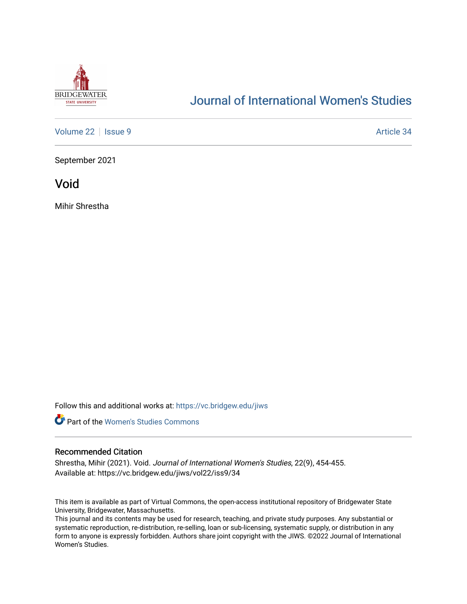

# [Journal of International Women's Studies](https://vc.bridgew.edu/jiws)

[Volume 22](https://vc.bridgew.edu/jiws/vol22) | [Issue 9](https://vc.bridgew.edu/jiws/vol22/iss9) Article 34

September 2021

Void

Mihir Shrestha

Follow this and additional works at: [https://vc.bridgew.edu/jiws](https://vc.bridgew.edu/jiws?utm_source=vc.bridgew.edu%2Fjiws%2Fvol22%2Fiss9%2F34&utm_medium=PDF&utm_campaign=PDFCoverPages)



# Recommended Citation

Shrestha, Mihir (2021). Void. Journal of International Women's Studies, 22(9), 454-455. Available at: https://vc.bridgew.edu/jiws/vol22/iss9/34

This item is available as part of Virtual Commons, the open-access institutional repository of Bridgewater State University, Bridgewater, Massachusetts.

This journal and its contents may be used for research, teaching, and private study purposes. Any substantial or systematic reproduction, re-distribution, re-selling, loan or sub-licensing, systematic supply, or distribution in any form to anyone is expressly forbidden. Authors share joint copyright with the JIWS. ©2022 Journal of International Women's Studies.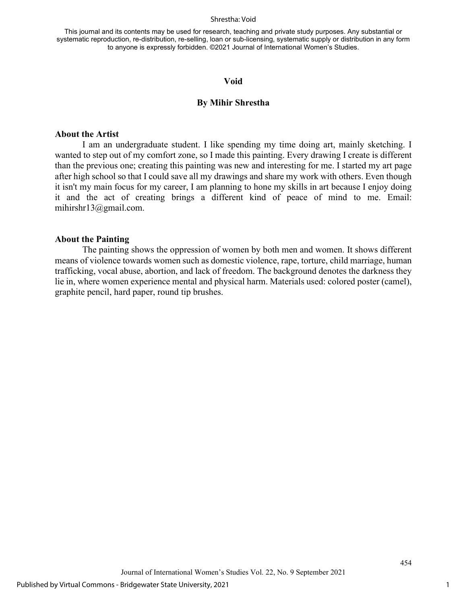#### Shrestha: Void

This journal and its contents may be used for research, teaching and private study purposes. Any substantial or systematic reproduction, re-distribution, re-selling, loan or sub-licensing, systematic supply or distribution in any form to anyone is expressly forbidden. ©2021 Journal of International Women's Studies.

### **Void**

### **By Mihir Shrestha**

# **About the Artist**

I am an undergraduate student. I like spending my time doing art, mainly sketching. I wanted to step out of my comfort zone, so I made this painting. Every drawing I create is different than the previous one; creating this painting was new and interesting for me. I started my art page after high school so that I could save all my drawings and share my work with others. Even though it isn't my main focus for my career, I am planning to hone my skills in art because I enjoy doing it and the act of creating brings a different kind of peace of mind to me. Email: mihirshr13@gmail.com.

#### **About the Painting**

The painting shows the oppression of women by both men and women. It shows different means of violence towards women such as domestic violence, rape, torture, child marriage, human trafficking, vocal abuse, abortion, and lack of freedom. The background denotes the darkness they lie in, where women experience mental and physical harm. Materials used: colored poster (camel), graphite pencil, hard paper, round tip brushes.

454